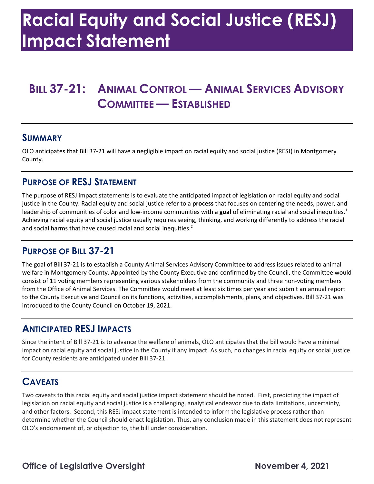# **Racial Equity and Social Justice (RESJ) Impact Statement**

# **BILL 37-21: ANIMAL CONTROL — ANIMAL SERVICES ADVISORY COMMITTEE — ESTABLISHED**

#### **SUMMARY**

 OLO anticipates that Bill 37-21 will have a negligible impact on racial equity and social justice (RESJ) in Montgomery County.

#### **PURPOSE OF RESJ STATEMENT**

 The purpose of RESJ impact statements is to evaluate the anticipated impact of legislation on racial equity and social justice in the County. Racial equity and social justice refer to a **process** that focuses on centering the needs, power, and leadership of communities of color and low-income communities with a goal of eliminating racial and social inequities.<sup>1</sup> Achieving racial equity and social justice usually requires seeing, thinking, and working differently to address the racial and social harms that have caused racial and social inequities.<sup>2</sup>

#### **PURPOSE OF BILL 37-21**

 The goal of Bill 37-21 is to establish a County Animal Services Advisory Committee to address issues related to animal welfare in Montgomery County. Appointed by the County Executive and confirmed by the Council, the Committee would from the Office of Animal Services. The Committee would meet at least six times per year and submit an annual report to the County Executive and Council on its functions, activities, accomplishments, plans, and objectives. Bill 37-21 was introduced to the County Council on October 19, 2021. consist of 11 voting members representing various stakeholders from the community and three non-voting members

#### **ANTICIPATED RESJ IMPACTS**

 Since the intent of Bill 37-21 is to advance the welfare of animals, OLO anticipates that the bill would have a minimal impact on racial equity and social justice in the County if any impact. As such, no changes in racial equity or social justice for County residents are anticipated under Bill 37-21.

## **CAVEATS**

 Two caveats to this racial equity and social justice impact statement should be noted. First, predicting the impact of and other factors. Second, this RESJ impact statement is intended to inform the legislative process rather than determine whether the Council should enact legislation. Thus, any conclusion made in this statement does not represent OLO's endorsement of, or objection to, the bill under consideration. legislation on racial equity and social justice is a challenging, analytical endeavor due to data limitations, uncertainty,